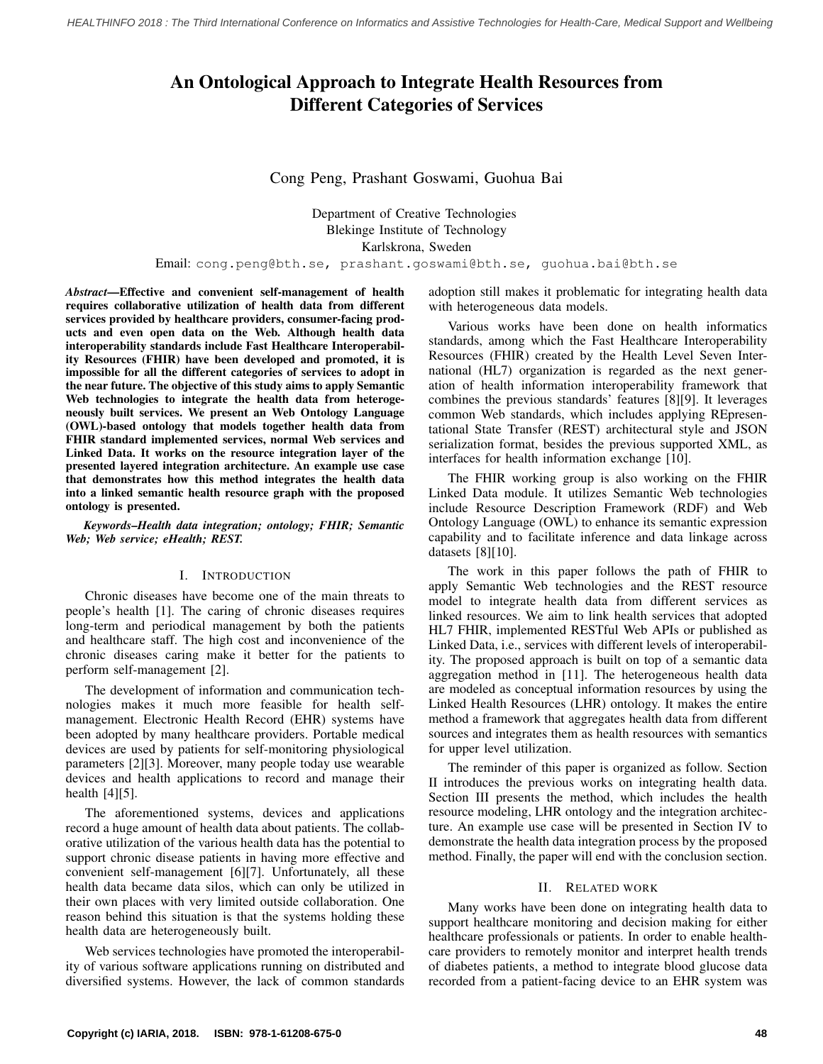# An Ontological Approach to Integrate Health Resources from Different Categories of Services

## Cong Peng, Prashant Goswami, Guohua Bai

Department of Creative Technologies Blekinge Institute of Technology Karlskrona, Sweden

Email: cong.peng@bth.se, prashant.goswami@bth.se, guohua.bai@bth.se

*Abstract*—Effective and convenient self-management of health requires collaborative utilization of health data from different services provided by healthcare providers, consumer-facing products and even open data on the Web. Although health data interoperability standards include Fast Healthcare Interoperability Resources (FHIR) have been developed and promoted, it is impossible for all the different categories of services to adopt in the near future. The objective of this study aims to apply Semantic Web technologies to integrate the health data from heterogeneously built services. We present an Web Ontology Language (OWL)-based ontology that models together health data from FHIR standard implemented services, normal Web services and Linked Data. It works on the resource integration layer of the presented layered integration architecture. An example use case that demonstrates how this method integrates the health data into a linked semantic health resource graph with the proposed ontology is presented.

*Keywords*–*Health data integration; ontology; FHIR; Semantic Web; Web service; eHealth; REST.*

#### I. INTRODUCTION

Chronic diseases have become one of the main threats to people's health [\[1](#page-6-0)]. The caring of chronic diseases requires long-term and periodical management by both the patients and healthcare staff. The high cost and inconvenience of the chronic diseases caring make it better for the patients to perform self-management [[2\]](#page-6-1).

The development of information and communication technologies makes it much more feasible for health selfmanagement. Electronic Health Record (EHR) systems have been adopted by many healthcare providers. Portable medical devices are used by patients for self-monitoring physiological parameters [\[2](#page-6-1)][[3\]](#page-6-2). Moreover, many people today use wearable devices and health applications to record and manage their health [\[4](#page-6-3)][[5\]](#page-6-4).

The aforementioned systems, devices and applications record a huge amount of health data about patients. The collaborative utilization of the various health data has the potential to support chronic disease patients in having more effective and convenient self-management [[6\]](#page-6-5)[\[7](#page-6-6)]. Unfortunately, all these health data became data silos, which can only be utilized in their own places with very limited outside collaboration. One reason behind this situation is that the systems holding these health data are heterogeneously built.

Web services technologies have promoted the interoperability of various software applications running on distributed and diversified systems. However, the lack of common standards adoption still makes it problematic for integrating health data with heterogeneous data models.

Various works have been done on health informatics standards, among which the Fast Healthcare Interoperability Resources (FHIR) created by the Health Level Seven International (HL7) organization is regarded as the next generation of health information interoperability framework that combines the previous standards' features [[8\]](#page-6-7)[[9\]](#page-6-8). It leverages common Web standards, which includes applying REpresentational State Transfer (REST) architectural style and JSON serialization format, besides the previous supported XML, as interfaces for health information exchange [[10\]](#page-6-9).

The FHIR working group is also working on the FHIR Linked Data module. It utilizes Semantic Web technologies include Resource Description Framework (RDF) and Web Ontology Language (OWL) to enhance its semantic expression capability and to facilitate inference and data linkage across datasets [\[8](#page-6-7)][[10\]](#page-6-9).

The work in this paper follows the path of FHIR to apply Semantic Web technologies and the REST resource model to integrate health data from different services as linked resources. We aim to link health services that adopted HL7 FHIR, implemented RESTful Web APIs or published as Linked Data, i.e., services with different levels of interoperability. The proposed approach is built on top of a semantic data aggregation method in [[11\]](#page-6-10). The heterogeneous health data are modeled as conceptual information resources by using the Linked Health Resources (LHR) ontology. It makes the entire method a framework that aggregates health data from different sources and integrates them as health resources with semantics for upper level utilization.

The reminder of this paper is organized as follow. Section II introduces the previous works on integrating health data. Section III presents the method, which includes the health resource modeling, LHR ontology and the integration architecture. An example use case will be presented in Section IV to demonstrate the health data integration process by the proposed method. Finally, the paper will end with the conclusion section.

#### II. RELATED WORK

Many works have been done on integrating health data to support healthcare monitoring and decision making for either healthcare professionals or patients. In order to enable healthcare providers to remotely monitor and interpret health trends of diabetes patients, a method to integrate blood glucose data recorded from a patient-facing device to an EHR system was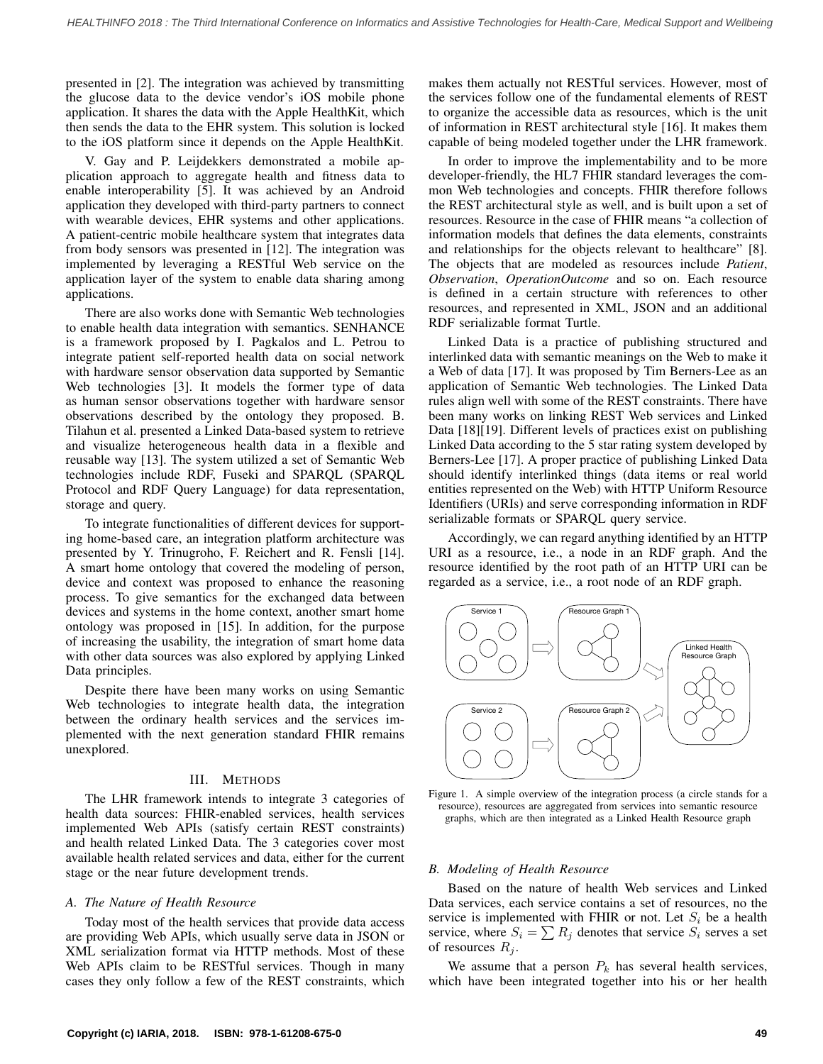presented in [\[2](#page-6-1)]. The integration was achieved by transmitting the glucose data to the device vendor's iOS mobile phone application. It shares the data with the Apple HealthKit, which then sends the data to the EHR system. This solution is locked to the iOS platform since it depends on the Apple HealthKit.

V. Gay and P. Leijdekkers demonstrated a mobile application approach to aggregate health and fitness data to enable interoperability [\[5](#page-6-4)]. It was achieved by an Android application they developed with third-party partners to connect with wearable devices, EHR systems and other applications. A patient-centric mobile healthcare system that integrates data from body sensors was presented in [[12\]](#page-6-11). The integration was implemented by leveraging a RESTful Web service on the application layer of the system to enable data sharing among applications.

There are also works done with Semantic Web technologies to enable health data integration with semantics. SENHANCE is a framework proposed by I. Pagkalos and L. Petrou to integrate patient self-reported health data on social network with hardware sensor observation data supported by Semantic Web technologies [[3\]](#page-6-2). It models the former type of data as human sensor observations together with hardware sensor observations described by the ontology they proposed. B. Tilahun et al. presented a Linked Data-based system to retrieve and visualize heterogeneous health data in a flexible and reusable way [\[13](#page-6-12)]. The system utilized a set of Semantic Web technologies include RDF, Fuseki and SPARQL (SPARQL Protocol and RDF Query Language) for data representation, storage and query.

To integrate functionalities of different devices for supporting home-based care, an integration platform architecture was presented by Y. Trinugroho, F. Reichert and R. Fensli [\[14](#page-6-13)]. A smart home ontology that covered the modeling of person, device and context was proposed to enhance the reasoning process. To give semantics for the exchanged data between devices and systems in the home context, another smart home ontology was proposed in [[15\]](#page-6-14). In addition, for the purpose of increasing the usability, the integration of smart home data with other data sources was also explored by applying Linked Data principles.

Despite there have been many works on using Semantic Web technologies to integrate health data, the integration between the ordinary health services and the services implemented with the next generation standard FHIR remains unexplored.

## III. METHODS

The LHR framework intends to integrate 3 categories of health data sources: FHIR-enabled services, health services implemented Web APIs (satisfy certain REST constraints) and health related Linked Data. The 3 categories cover most available health related services and data, either for the current stage or the near future development trends.

## *A. The Nature of Health Resource*

Today most of the health services that provide data access are providing Web APIs, which usually serve data in JSON or XML serialization format via HTTP methods. Most of these Web APIs claim to be RESTful services. Though in many cases they only follow a few of the REST constraints, which makes them actually not RESTful services. However, most of the services follow one of the fundamental elements of REST to organize the accessible data as resources, which is the unit of information in REST architectural style [\[16](#page-6-15)]. It makes them capable of being modeled together under the LHR framework.

In order to improve the implementability and to be more developer-friendly, the HL7 FHIR standard leverages the common Web technologies and concepts. FHIR therefore follows the REST architectural style as well, and is built upon a set of resources. Resource in the case of FHIR means "a collection of information models that defines the data elements, constraints and relationships for the objects relevant to healthcare" [\[8](#page-6-7)]. The objects that are modeled as resources include *Patient*, *Observation*, *OperationOutcome* and so on. Each resource is defined in a certain structure with references to other resources, and represented in XML, JSON and an additional RDF serializable format Turtle.

Linked Data is a practice of publishing structured and interlinked data with semantic meanings on the Web to make it a Web of data [\[17](#page-6-16)]. It was proposed by Tim Berners-Lee as an application of Semantic Web technologies. The Linked Data rules align well with some of the REST constraints. There have been many works on linking REST Web services and Linked Data [\[18](#page-6-17)][[19\]](#page-6-18). Different levels of practices exist on publishing Linked Data according to the 5 star rating system developed by Berners-Lee [\[17](#page-6-16)]. A proper practice of publishing Linked Data should identify interlinked things (data items or real world entities represented on the Web) with HTTP Uniform Resource Identifiers (URIs) and serve corresponding information in RDF serializable formats or SPARQL query service.

Accordingly, we can regard anything identified by an HTTP URI as a resource, i.e., a node in an RDF graph. And the resource identified by the root path of an HTTP URI can be regarded as a service, i.e., a root node of an RDF graph.

<span id="page-1-0"></span>

Figure 1. A simple overview of the integration process (a circle stands for a resource), resources are aggregated from services into semantic resource graphs, which are then integrated as a Linked Health Resource graph

## *B. Modeling of Health Resource*

Based on the nature of health Web services and Linked Data services, each service contains a set of resources, no the service is implemented with FHIR or not. Let  $S_i$  be a health service, where  $S_i = \sum R_j$  denotes that service  $S_i$  serves a set of resources *R<sup>j</sup>* .

We assume that a person  $P_k$  has several health services, which have been integrated together into his or her health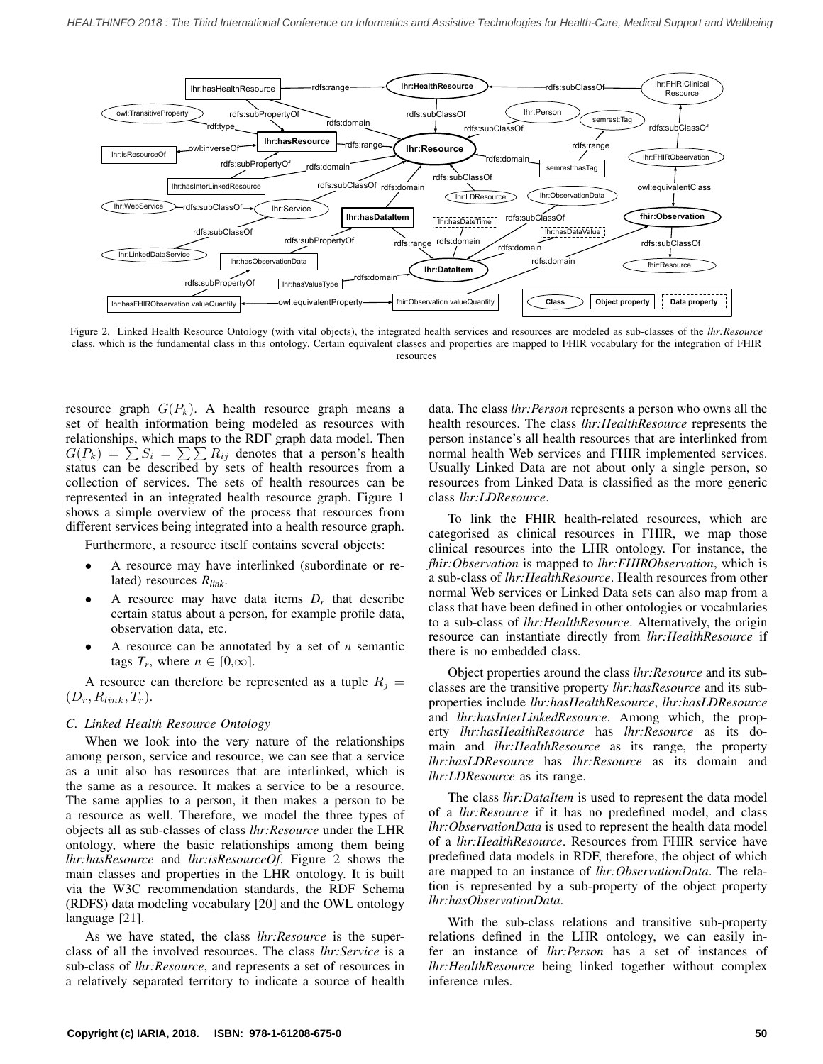<span id="page-2-0"></span>

Figure 2. Linked Health Resource Ontology (with vital objects), the integrated health services and resources are modeled as sub-classes of the *lhr:Resource* class, which is the fundamental class in this ontology. Certain equivalent classes and properties are mapped to FHIR vocabulary for the integration of FHIR resources

resource graph  $G(P_k)$ . A health resource graph means a set of health information being modeled as resources with relationships, which maps to the RDF graph data model. Then  $G(P_k) = \sum_{i=1}^{n} S_i = \sum_{i=1}^{n} R_{ij}$  denotes that a person's health status can be described by sets of health resources from a collection of services. The sets of health resources can be represented in an integrated health resource graph. Figure [1](#page-1-0) shows a simple overview of the process that resources from different services being integrated into a health resource graph.

Furthermore, a resource itself contains several objects:

- *•* A resource may have interlinked (subordinate or related) resources *Rlink*.
- A resource may have data items  $D_r$  that describe certain status about a person, for example profile data, observation data, etc.
- *•* A resource can be annotated by a set of *n* semantic tags  $T_r$ , where  $n \in [0,\infty]$ .

A resource can therefore be represented as a tuple  $R_j =$  $(D_r, R_{link}, T_r)$ .

## *C. Linked Health Resource Ontology*

When we look into the very nature of the relationships among person, service and resource, we can see that a service as a unit also has resources that are interlinked, which is the same as a resource. It makes a service to be a resource. The same applies to a person, it then makes a person to be a resource as well. Therefore, we model the three types of objects all as sub-classes of class *lhr:Resource* under the LHR ontology, where the basic relationships among them being *lhr:hasResource* and *lhr:isResourceOf*. Figure [2](#page-2-0) shows the main classes and properties in the LHR ontology. It is built via the W3C recommendation standards, the RDF Schema (RDFS) data modeling vocabulary [[20\]](#page-6-19) and the OWL ontology language [[21\]](#page-6-20).

As we have stated, the class *lhr:Resource* is the superclass of all the involved resources. The class *lhr:Service* is a sub-class of *lhr:Resource*, and represents a set of resources in a relatively separated territory to indicate a source of health data. The class *lhr:Person* represents a person who owns all the health resources. The class *lhr:HealthResource* represents the person instance's all health resources that are interlinked from normal health Web services and FHIR implemented services. Usually Linked Data are not about only a single person, so resources from Linked Data is classified as the more generic class *lhr:LDResource*.

To link the FHIR health-related resources, which are categorised as clinical resources in FHIR, we map those clinical resources into the LHR ontology. For instance, the *fhir:Observation* is mapped to *lhr:FHIRObservation*, which is a sub-class of *lhr:HealthResource*. Health resources from other normal Web services or Linked Data sets can also map from a class that have been defined in other ontologies or vocabularies to a sub-class of *lhr:HealthResource*. Alternatively, the origin resource can instantiate directly from *lhr:HealthResource* if there is no embedded class.

Object properties around the class *lhr:Resource* and its subclasses are the transitive property *lhr:hasResource* and its subproperties include *lhr:hasHealthResource*, *lhr:hasLDResource* and *lhr:hasInterLinkedResource*. Among which, the property *lhr:hasHealthResource* has *lhr:Resource* as its domain and *lhr:HealthResource* as its range, the property *lhr:hasLDResource* has *lhr:Resource* as its domain and *lhr:LDResource* as its range.

The class *lhr:DataItem* is used to represent the data model of a *lhr:Resource* if it has no predefined model, and class *lhr:ObservationData* is used to represent the health data model of a *lhr:HealthResource*. Resources from FHIR service have predefined data models in RDF, therefore, the object of which are mapped to an instance of *lhr:ObservationData*. The relation is represented by a sub-property of the object property *lhr:hasObservationData*.

With the sub-class relations and transitive sub-property relations defined in the LHR ontology, we can easily infer an instance of *lhr:Person* has a set of instances of *lhr:HealthResource* being linked together without complex inference rules.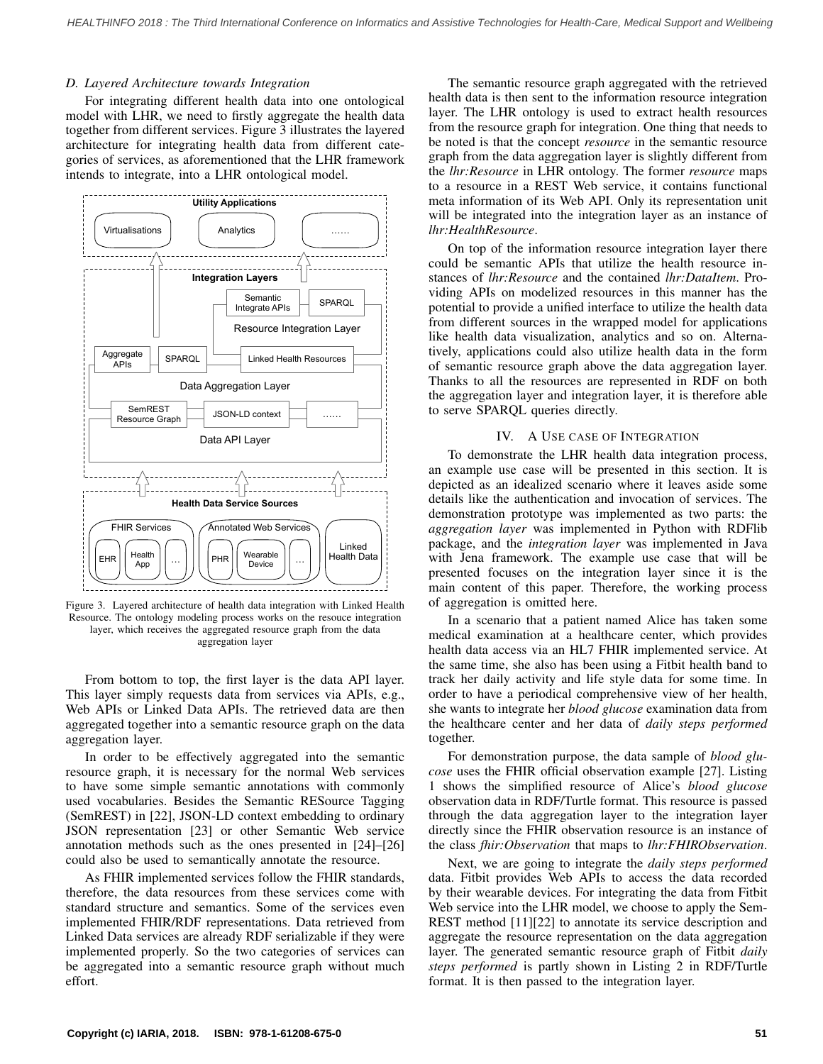### *D. Layered Architecture towards Integration*

For integrating different health data into one ontological model with LHR, we need to firstly aggregate the health data together from different services. Figure [3](#page-3-0) illustrates the layered architecture for integrating health data from different categories of services, as aforementioned that the LHR framework intends to integrate, into a LHR ontological model.

<span id="page-3-0"></span>

Figure 3. Layered architecture of health data integration with Linked Health Resource. The ontology modeling process works on the resouce integration layer, which receives the aggregated resource graph from the data aggregation layer

From bottom to top, the first layer is the data API layer. This layer simply requests data from services via APIs, e.g., Web APIs or Linked Data APIs. The retrieved data are then aggregated together into a semantic resource graph on the data aggregation layer.

In order to be effectively aggregated into the semantic resource graph, it is necessary for the normal Web services to have some simple semantic annotations with commonly used vocabularies. Besides the Semantic RESource Tagging (SemREST) in [[22\]](#page-6-21), JSON-LD context embedding to ordinary JSON representation [[23\]](#page-6-22) or other Semantic Web service annotation methods such as the ones presented in [\[24](#page-6-23)]–[[26\]](#page-6-24) could also be used to semantically annotate the resource.

As FHIR implemented services follow the FHIR standards, therefore, the data resources from these services come with standard structure and semantics. Some of the services even implemented FHIR/RDF representations. Data retrieved from Linked Data services are already RDF serializable if they were implemented properly. So the two categories of services can be aggregated into a semantic resource graph without much effort.

The semantic resource graph aggregated with the retrieved health data is then sent to the information resource integration layer. The LHR ontology is used to extract health resources from the resource graph for integration. One thing that needs to be noted is that the concept *resource* in the semantic resource graph from the data aggregation layer is slightly different from the *lhr:Resource* in LHR ontology. The former *resource* maps to a resource in a REST Web service, it contains functional meta information of its Web API. Only its representation unit will be integrated into the integration layer as an instance of *lhr:HealthResource*.

On top of the information resource integration layer there could be semantic APIs that utilize the health resource instances of *lhr:Resource* and the contained *lhr:DataItem*. Providing APIs on modelized resources in this manner has the potential to provide a unified interface to utilize the health data from different sources in the wrapped model for applications like health data visualization, analytics and so on. Alternatively, applications could also utilize health data in the form of semantic resource graph above the data aggregation layer. Thanks to all the resources are represented in RDF on both the aggregation layer and integration layer, it is therefore able to serve SPARQL queries directly.

## IV. A USE CASE OF INTEGRATION

To demonstrate the LHR health data integration process, an example use case will be presented in this section. It is depicted as an idealized scenario where it leaves aside some details like the authentication and invocation of services. The demonstration prototype was implemented as two parts: the *aggregation layer* was implemented in Python with RDFlib package, and the *integration layer* was implemented in Java with Jena framework. The example use case that will be presented focuses on the integration layer since it is the main content of this paper. Therefore, the working process of aggregation is omitted here.

In a scenario that a patient named Alice has taken some medical examination at a healthcare center, which provides health data access via an HL7 FHIR implemented service. At the same time, she also has been using a Fitbit health band to track her daily activity and life style data for some time. In order to have a periodical comprehensive view of her health, she wants to integrate her *blood glucose* examination data from the healthcare center and her data of *daily steps performed* together.

For demonstration purpose, the data sample of *blood glucose* uses the FHIR official observation example [[27\]](#page-6-25). Listing [1](#page-4-0) shows the simplified resource of Alice's *blood glucose* observation data in RDF/Turtle format. This resource is passed through the data aggregation layer to the integration layer directly since the FHIR observation resource is an instance of the class *fhir:Observation* that maps to *lhr:FHIRObservation*.

Next, we are going to integrate the *daily steps performed* data. Fitbit provides Web APIs to access the data recorded by their wearable devices. For integrating the data from Fitbit Web service into the LHR model, we choose to apply the Sem-REST method [\[11](#page-6-10)][[22\]](#page-6-21) to annotate its service description and aggregate the resource representation on the data aggregation layer. The generated semantic resource graph of Fitbit *daily steps performed* is partly shown in Listing [2](#page-4-1) in RDF/Turtle format. It is then passed to the integration layer.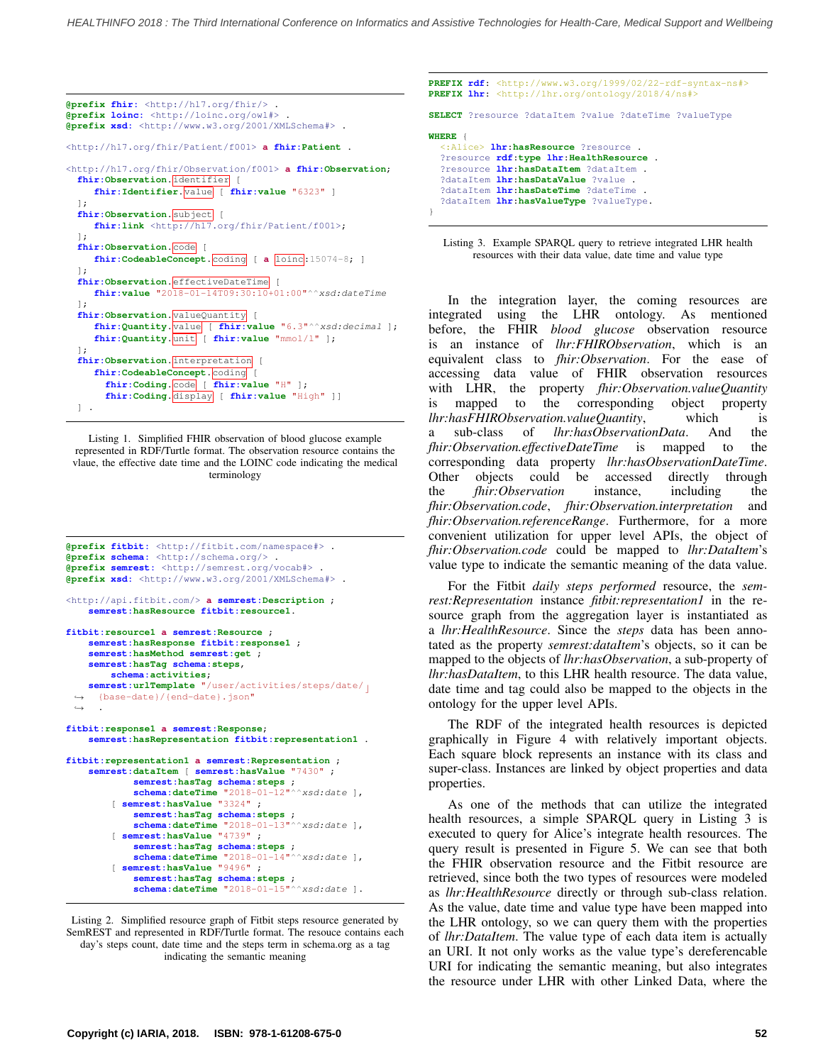<span id="page-4-0"></span>

| @prefix fhir: <http: fhir="" hl7.org=""></http:> .<br>@prefix loinc: <http: loinc.org="" owl#=""> .<br/><b>@prefix xsd:</b> <http: 2001="" www.w3.org="" xmlschema#=""> .</http:></http:>    |
|----------------------------------------------------------------------------------------------------------------------------------------------------------------------------------------------|
| <http: f001="" fhir="" hl7.org="" patient=""> a fhir:Patient .</http:>                                                                                                                       |
| <http: f001="" fhir="" hl7.org="" observation=""> a fhir:Observation;<br/>fhir: Observation. identifier<br/>fhir: Identifier. value [ fhir: value "6323" ]<br/><math>\exists</math>;</http:> |
| fhir: Observation. subject [<br>fhir: link <http: f001="" fhir="" hl7.org="" patient="">;<br/><math>\exists</math>;<br/>fhir: Observation. code</http:>                                      |
| fhir:CodeableConcept. coding [ a loinc:15074-8; ]                                                                                                                                            |
| $\exists$ ;<br>fhir: Observation.effectiveDateTime<br>fhir: value "2018-01-14T09:30:10+01:00"^^xsd: dateTime                                                                                 |
| $\exists$ ;<br>fhir: Observation. value Quantity [                                                                                                                                           |
| fhir: Quantity. value [ fhir: value "6.3"^^xsd: decimal ];<br>fhir: Quantity. unit [ fhir: value "mmol/1" ];<br>$\exists$ ;                                                                  |
| fhir: Observation. interpretation<br>$\sqrt{ }$<br>fhir: CodeableConcept. coding [                                                                                                           |
| fhir:Coding.code [ fhir:value "H" ];<br>fhir:Coding. display [ fhir:value "High" ]]                                                                                                          |
| 1.                                                                                                                                                                                           |

Listing 1. Simplified FHIR observation of blood glucose example represented in RDF/Turtle format. The observation resource contains the vlaue, the effective date time and the LOINC code indicating the medical terminology

```
@prefix fitbit: <http://fitbit.com/namespace#> .
@prefix schema: <http://schema.org/> .
@prefix semrest: <http://semrest.org/vocab#> .
@prefix xsd: <http://www.w3.org/2001/XMLSchema#> .
<http://api.fitbit.com/> a semrest:Description ;
    semrest:hasResource fitbit:resource1.
fitbit:resource1 a semrest:Resource ;
    semrest:hasResponse fitbit:response1 ;
    semrest:hasMethod semrest:get ;
    semrest:hasTag schema:steps,
        schema:activities;
    semrest:urlTemplate "/user/activities/steps/date/ ⌋
      {base-date}/{end-date}.json"
      .
 ,→
 ,→
fitbit:response1 a semrest:Response;
    semrest:hasRepresentation fitbit:representation1 .
fitbit:representation1 a semrest:Representation ;
    semrest:dataItem [ semrest:hasValue "7430" ;
             semrest:hasTag schema:steps ;
             schema:dateTime "2018-01-12"^^xsd:date ],
        [ semrest:hasValue "3324" ;
             semrest:hasTag schema:steps ;
         schema:dateTime "2018-01-13"^^xsd:date ],
[ semrest:hasValue "4739" ;
             semrest:hasTag schema:steps ;
         schema:dateTime "2018-01-14"^^xsd:date ],
[ semrest:hasValue "9496" ;
             semrest:hasTag schema:steps ;
schema:dateTime "2018-01-15"^^xsd:date ].
```
Listing 2. Simplified resource graph of Fitbit steps resource generated by SemREST and represented in RDF/Turtle format. The resouce contains each day's steps count, date time and the steps term in schema.org as a tag indicating the semantic meaning

<span id="page-4-2"></span>

|       | <b>PREFIX lhr:</b> <http: 2018="" 4="" lhr.org="" ns#="" ontology=""></http:>                                                                                                                                                                                                            |  | <b>PREFIX rdf:</b> <http: 02="" 1999="" 22-rdf-syntax-ns#="" www.w3.org=""></http:> |
|-------|------------------------------------------------------------------------------------------------------------------------------------------------------------------------------------------------------------------------------------------------------------------------------------------|--|-------------------------------------------------------------------------------------|
|       |                                                                                                                                                                                                                                                                                          |  | <b>SELECT</b> ?resource ?dataItem ?value ?dateTime ?valueType                       |
| WHERE | <: Alice> <b>lhr: hasResource</b> ?resource .<br>?resource rdf:type lhr: HealthResource .<br>Presource <b>lhr:hasDataItem</b> ?dataItem .<br>?dataItem <b>lhr:hasDataValue</b> ?value .<br>?dataItem <b>lhr:hasDateTime</b> ?dateTime .<br>?dataItem <b>lhr:hasValueType</b> ?valueType. |  |                                                                                     |

Listing 3. Example SPARQL query to retrieve integrated LHR health resources with their data value, date time and value type

In the integration layer, the coming resources are integrated using the LHR ontology. As mentioned before, the FHIR *blood glucose* observation resource is an instance of *lhr:FHIRObservation*, which is an equivalent class to *fhir:Observation*. For the ease of accessing data value of FHIR observation resources with LHR, the property *fhir:Observation.valueQuantity* is mapped to the corresponding object property *lhr:hasFHIRObservation.valueQuantity*, which is a sub-class of *lhr:hasObservationData*. And the *fhir:Observation.effectiveDateTime* is mapped to the corresponding data property *lhr:hasObservationDateTime*. Other objects could be accessed directly through the *fhir:Observation* instance, including the *fhir:Observation.code*, *fhir:Observation.interpretation* and *fhir:Observation.referenceRange*. Furthermore, for a more convenient utilization for upper level APIs, the object of *fhir:Observation.code* could be mapped to *lhr:DataItem*'s value type to indicate the semantic meaning of the data value.

For the Fitbit *daily steps performed* resource, the *semrest:Representation* instance *fitbit:representation1* in the resource graph from the aggregation layer is instantiated as a *lhr:HealthResource*. Since the *steps* data has been annotated as the property *semrest:dataItem*'s objects, so it can be mapped to the objects of *lhr:hasObservation*, a sub-property of *lhr:hasDataItem*, to this LHR health resource. The data value, date time and tag could also be mapped to the objects in the ontology for the upper level APIs.

The RDF of the integrated health resources is depicted graphically in Figure [4](#page-5-0) with relatively important objects. Each square block represents an instance with its class and super-class. Instances are linked by object properties and data properties.

As one of the methods that can utilize the integrated health resources, a simple SPARQL query in Listing [3](#page-4-2) is executed to query for Alice's integrate health resources. The query result is presented in Figure [5](#page-5-1). We can see that both the FHIR observation resource and the Fitbit resource are retrieved, since both the two types of resources were modeled as *lhr:HealthResource* directly or through sub-class relation. As the value, date time and value type have been mapped into the LHR ontology, so we can query them with the properties of *lhr:DataItem*. The value type of each data item is actually an URI. It not only works as the value type's dereferencable URI for indicating the semantic meaning, but also integrates the resource under LHR with other Linked Data, where the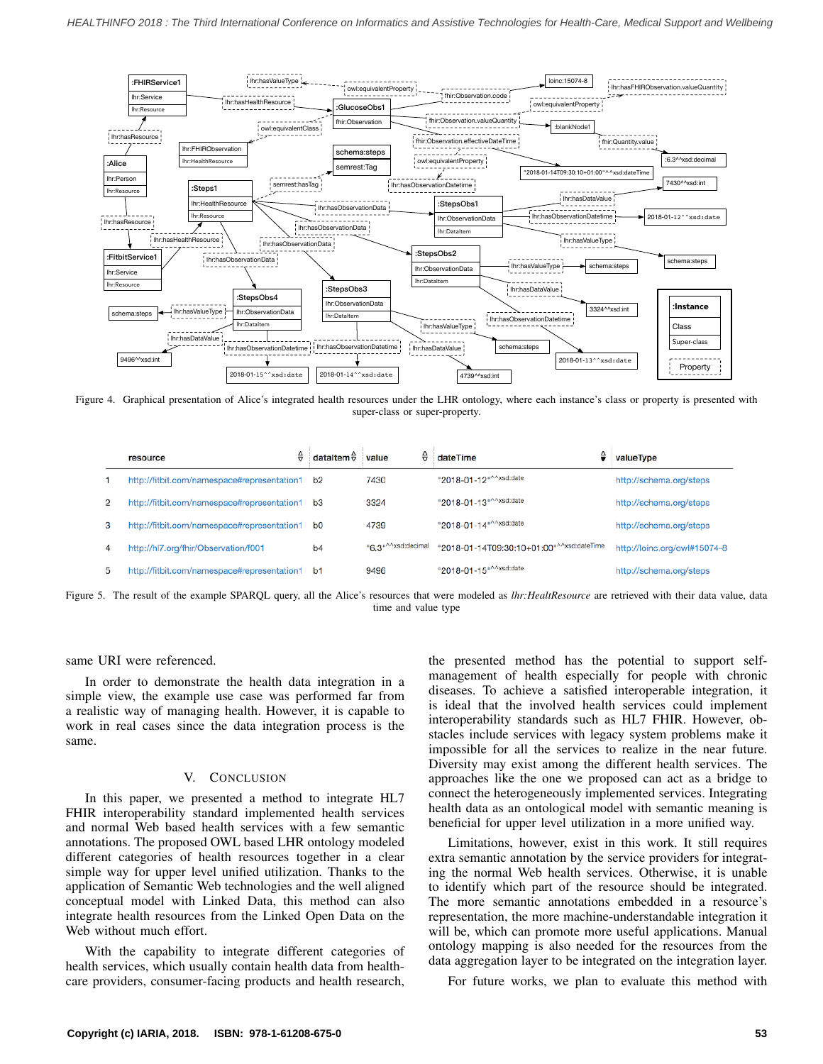<span id="page-5-0"></span>

Figure 4. Graphical presentation of Alice's integrated health resources under the LHR ontology, where each instance's class or property is presented with super-class or super-property.

<span id="page-5-1"></span>

|                | ⇔<br>resource                               | dataItem $\hat{\theta}$ | ⇔<br>value                      | dateTime                                  | valueType                    |
|----------------|---------------------------------------------|-------------------------|---------------------------------|-------------------------------------------|------------------------------|
|                | http://fitbit.com/namespace#representation1 | b2                      | 7430                            | "2018-01-12"^^xsd:date                    | http://schema.org/steps      |
| 2              | http://fitbit.com/namespace#representation1 | b <sub>3</sub>          | 3324                            | "2018-01-13"^^xsd:date                    | http://schema.org/steps      |
| 3              | http://fitbit.com/namespace#representation1 | b0                      | 4739                            | "2018-01-14"^^xsd:date                    | http://schema.org/steps      |
| $\overline{4}$ | http://hl7.org/fhir/Observation/f001        | b <sub>4</sub>          | "6.3" <sup>^^</sup> xsd:decimal | "2018-01-14T09:30:10+01:00"^^xsd:dateTime | http://loinc.org/owl#15074-8 |
| 5              | http://fitbit.com/namespace#representation1 | b1                      | 9496                            | "2018-01-15"^^xsd:date                    | http://schema.org/steps      |

Figure 5. The result of the example SPARQL query, all the Alice's resources that were modeled as *lhr:HealtResource* are retrieved with their data value, data time and value type

same URI were referenced.

In order to demonstrate the health data integration in a simple view, the example use case was performed far from a realistic way of managing health. However, it is capable to work in real cases since the data integration process is the same.

#### V. CONCLUSION

In this paper, we presented a method to integrate HL7 FHIR interoperability standard implemented health services and normal Web based health services with a few semantic annotations. The proposed OWL based LHR ontology modeled different categories of health resources together in a clear simple way for upper level unified utilization. Thanks to the application of Semantic Web technologies and the well aligned conceptual model with Linked Data, this method can also integrate health resources from the Linked Open Data on the Web without much effort.

With the capability to integrate different categories of health services, which usually contain health data from healthcare providers, consumer-facing products and health research,

the presented method has the potential to support selfmanagement of health especially for people with chronic diseases. To achieve a satisfied interoperable integration, it is ideal that the involved health services could implement interoperability standards such as HL7 FHIR. However, obstacles include services with legacy system problems make it impossible for all the services to realize in the near future. Diversity may exist among the different health services. The approaches like the one we proposed can act as a bridge to connect the heterogeneously implemented services. Integrating health data as an ontological model with semantic meaning is beneficial for upper level utilization in a more unified way.

Limitations, however, exist in this work. It still requires extra semantic annotation by the service providers for integrating the normal Web health services. Otherwise, it is unable to identify which part of the resource should be integrated. The more semantic annotations embedded in a resource's representation, the more machine-understandable integration it will be, which can promote more useful applications. Manual ontology mapping is also needed for the resources from the data aggregation layer to be integrated on the integration layer.

For future works, we plan to evaluate this method with